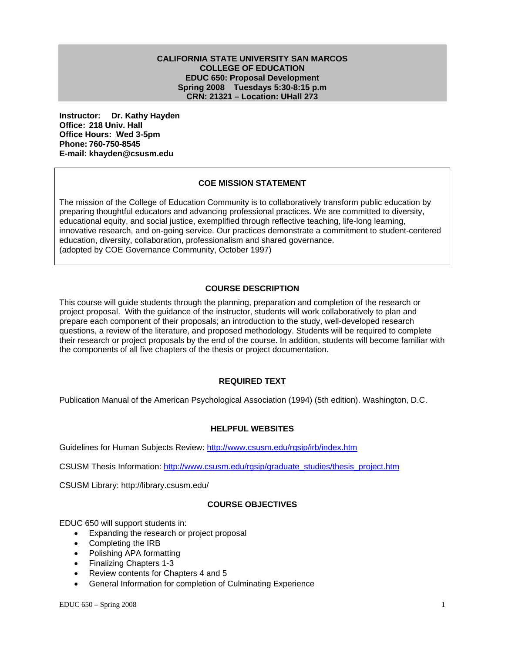#### **CALIFORNIA STATE UNIVERSITY SAN MARCOS COLLEGE OF EDUCATION EDUC 650: Proposal Development Spring 2008 Tuesdays 5:30-8:15 p.m CRN: 21321 – Location: UHall 273**

**Instructor: Dr. Kathy Hayden Office: 218 Univ. Hall Office Hours: Wed 3-5pm Phone: 760-750-8545 E-mail: khayden@csusm.edu**

## **COE MISSION STATEMENT**

The mission of the College of Education Community is to collaboratively transform public education by preparing thoughtful educators and advancing professional practices. We are committed to diversity, educational equity, and social justice, exemplified through reflective teaching, life-long learning, innovative research, and on-going service. Our practices demonstrate a commitment to student-centered education, diversity, collaboration, professionalism and shared governance. (adopted by COE Governance Community, October 1997)

## **COURSE DESCRIPTION**

This course will guide students through the planning, preparation and completion of the research or project proposal. With the guidance of the instructor, students will work collaboratively to plan and prepare each component of their proposals; an introduction to the study, well-developed research questions, a review of the literature, and proposed methodology. Students will be required to complete their research or project proposals by the end of the course. In addition, students will become familiar with the components of all five chapters of the thesis or project documentation.

## **REQUIRED TEXT**

Publication Manual of the American Psychological Association (1994) (5th edition). Washington, D.C.

#### **HELPFUL WEBSITES**

Guidelines for Human Subjects Review: http://www.csusm.edu/rgsip/irb/index.htm

CSUSM Thesis Information: http://www.csusm.edu/rgsip/graduate\_studies/thesis\_project.htm

CSUSM Library: http://library.csusm.edu/

## **COURSE OBJECTIVES**

EDUC 650 will support students in:

- Expanding the research or project proposal
- Completing the IRB
- Polishing APA formatting
- Finalizing Chapters 1-3
- Review contents for Chapters 4 and 5
- General Information for completion of Culminating Experience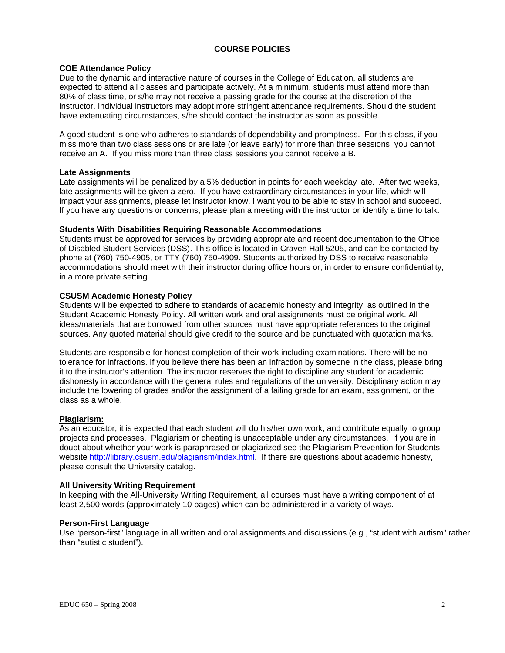## **COURSE POLICIES**

### **COE Attendance Policy**

Due to the dynamic and interactive nature of courses in the College of Education, all students are expected to attend all classes and participate actively. At a minimum, students must attend more than 80% of class time, or s/he may not receive a passing grade for the course at the discretion of the instructor. Individual instructors may adopt more stringent attendance requirements. Should the student have extenuating circumstances, s/he should contact the instructor as soon as possible.

A good student is one who adheres to standards of dependability and promptness. For this class, if you miss more than two class sessions or are late (or leave early) for more than three sessions, you cannot receive an A. If you miss more than three class sessions you cannot receive a B.

#### **Late Assignments**

Late assignments will be penalized by a 5% deduction in points for each weekday late. After two weeks, late assignments will be given a zero. If you have extraordinary circumstances in your life, which will impact your assignments, please let instructor know. I want you to be able to stay in school and succeed. If you have any questions or concerns, please plan a meeting with the instructor or identify a time to talk.

## **Students With Disabilities Requiring Reasonable Accommodations**

Students must be approved for services by providing appropriate and recent documentation to the Office of Disabled Student Services (DSS). This office is located in Craven Hall 5205, and can be contacted by phone at (760) 750-4905, or TTY (760) 750-4909. Students authorized by DSS to receive reasonable accommodations should meet with their instructor during office hours or, in order to ensure confidentiality, in a more private setting.

## **CSUSM Academic Honesty Policy**

Students will be expected to adhere to standards of academic honesty and integrity, as outlined in the Student Academic Honesty Policy. All written work and oral assignments must be original work. All ideas/materials that are borrowed from other sources must have appropriate references to the original sources. Any quoted material should give credit to the source and be punctuated with quotation marks.

Students are responsible for honest completion of their work including examinations. There will be no tolerance for infractions. If you believe there has been an infraction by someone in the class, please bring it to the instructor's attention. The instructor reserves the right to discipline any student for academic dishonesty in accordance with the general rules and regulations of the university. Disciplinary action may include the lowering of grades and/or the assignment of a failing grade for an exam, assignment, or the class as a whole.

#### **Plagiarism:**

As an educator, it is expected that each student will do his/her own work, and contribute equally to group projects and processes. Plagiarism or cheating is unacceptable under any circumstances. If you are in doubt about whether your work is paraphrased or plagiarized see the Plagiarism Prevention for Students website http://library.csusm.edu/plagiarism/index.html. If there are questions about academic honesty, please consult the University catalog.

#### **All University Writing Requirement**

In keeping with the All-University Writing Requirement, all courses must have a writing component of at least 2,500 words (approximately 10 pages) which can be administered in a variety of ways.

## **Person-First Language**

Use "person-first" language in all written and oral assignments and discussions (e.g., "student with autism" rather than "autistic student").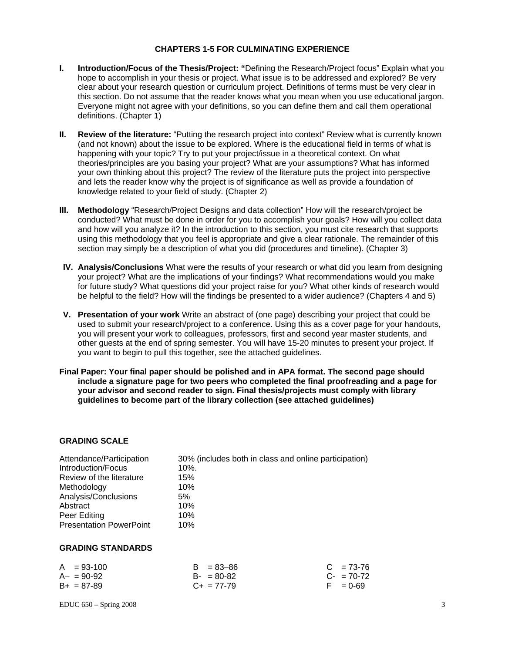#### **CHAPTERS 1-5 FOR CULMINATING EXPERIENCE**

- **I. Introduction/Focus of the Thesis/Project: "**Defining the Research/Project focus" Explain what you hope to accomplish in your thesis or project. What issue is to be addressed and explored? Be very clear about your research question or curriculum project. Definitions of terms must be very clear in this section. Do not assume that the reader knows what you mean when you use educational jargon. Everyone might not agree with your definitions, so you can define them and call them operational definitions. (Chapter 1)
- **II. Review of the literature:** "Putting the research project into context" Review what is currently known (and not known) about the issue to be explored. Where is the educational field in terms of what is happening with your topic? Try to put your project/issue in a theoretical context. On what theories/principles are you basing your project? What are your assumptions? What has informed your own thinking about this project? The review of the literature puts the project into perspective and lets the reader know why the project is of significance as well as provide a foundation of knowledge related to your field of study. (Chapter 2)
- **III. Methodology** "Research/Project Designs and data collection" How will the research/project be conducted? What must be done in order for you to accomplish your goals? How will you collect data and how will you analyze it? In the introduction to this section, you must cite research that supports using this methodology that you feel is appropriate and give a clear rationale. The remainder of this section may simply be a description of what you did (procedures and timeline). (Chapter 3)
- **IV. Analysis/Conclusions** What were the results of your research or what did you learn from designing your project? What are the implications of your findings? What recommendations would you make for future study? What questions did your project raise for you? What other kinds of research would be helpful to the field? How will the findings be presented to a wider audience? (Chapters 4 and 5)
- **V. Presentation of your work** Write an abstract of (one page) describing your project that could be used to submit your research/project to a conference. Using this as a cover page for your handouts, you will present your work to colleagues, professors, first and second year master students, and other guests at the end of spring semester. You will have 15-20 minutes to present your project. If you want to begin to pull this together, see the attached guidelines.
- **Final Paper: Your final paper should be polished and in APA format. The second page should include a signature page for two peers who completed the final proofreading and a page for your advisor and second reader to sign. Final thesis/projects must comply with library guidelines to become part of the library collection (see attached guidelines)**

## **GRADING SCALE**

| Attendance/Participation       | 30% (includes both in class and online participation) |
|--------------------------------|-------------------------------------------------------|
| Introduction/Focus             | 10%.                                                  |
| Review of the literature       | 15%                                                   |
| Methodology                    | 10%                                                   |
| Analysis/Conclusions           | 5%                                                    |
| Abstract                       | 10%                                                   |
| Peer Editing                   | 10%                                                   |
| <b>Presentation PowerPoint</b> | 10%                                                   |
|                                |                                                       |

#### **GRADING STANDARDS**

| $A = 93-100$    | $B = 83 - 86$   | $C = 73-76$ |
|-----------------|-----------------|-------------|
| $A - = 90 - 92$ | $B - 80 - 82$   | $C - 70-72$ |
| $B+ = 87-89$    | $C_{+}$ = 77-79 | $F = 0.69$  |

 $EDUC 650 - Spring 2008$  3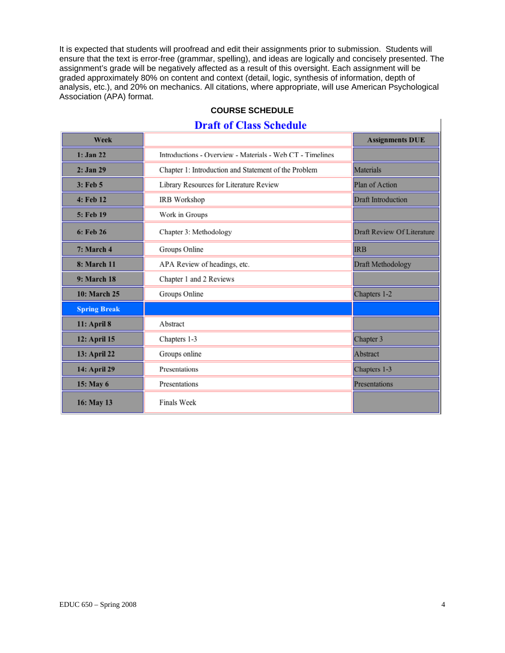It is expected that students will proofread and edit their assignments prior to submission. Students will ensure that the text is error-free (grammar, spelling), and ideas are logically and concisely presented. The assignment's grade will be negatively affected as a result of this oversight. Each assignment will be graded approximately 80% on content and context (detail, logic, synthesis of information, depth of analysis, etc.), and 20% on mechanics. All citations, where appropriate, will use American Psychological Association (APA) format.

## **COURSE SCHEDULE**

# **Draft of Class Schedule**

| Week                |                                                           | <b>Assignments DUE</b>     |
|---------------------|-----------------------------------------------------------|----------------------------|
| $1:$ Jan 22         | Introductions - Overview - Materials - Web CT - Timelines |                            |
| 2: Jan 29           | Chapter 1: Introduction and Statement of the Problem      |                            |
| 3: Feb 5            | Library Resources for Literature Review                   |                            |
| 4: Feb 12           | IRB Workshop                                              |                            |
| 5: Feb 19           | Work in Groups                                            |                            |
| 6: Feb 26           | Chapter 3: Methodology                                    | Draft Review Of Literature |
| 7: March 4          | Groups Online                                             | <b>IRB</b>                 |
| <b>8: March 11</b>  | APA Review of headings, etc.                              | Draft Methodology          |
| 9: March 18         | Chapter 1 and 2 Reviews                                   |                            |
| 10: March 25        | Groups Online                                             | Chapters 1-2               |
| <b>Spring Break</b> |                                                           |                            |
| 11: April 8         | Abstract                                                  |                            |
| 12: April 15        | Chapters 1-3                                              | Chapter 3                  |
| 13: April 22        | Groups online                                             | Abstract                   |
| 14: April 29        | Presentations                                             | Chapters 1-3               |
| 15: May 6           | Presentations                                             | Presentations              |
| 16: May 13          | <b>Finals Week</b>                                        |                            |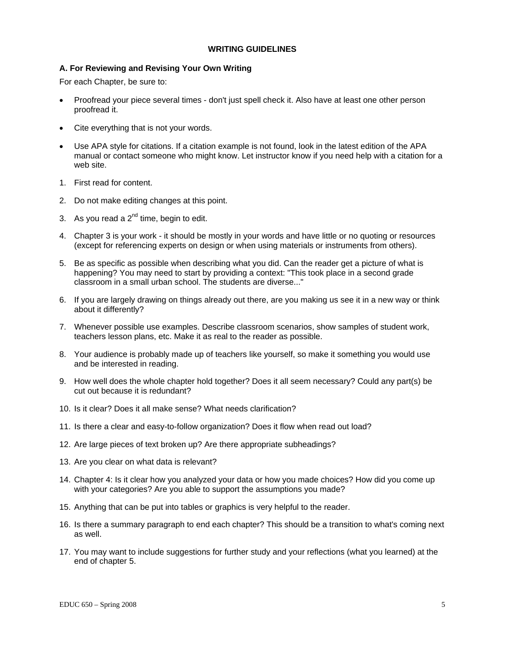#### **WRITING GUIDELINES**

## **A. For Reviewing and Revising Your Own Writing**

For each Chapter, be sure to:

- Proofread your piece several times don't just spell check it. Also have at least one other person proofread it.
- Cite everything that is not your words.
- Use APA style for citations. If a citation example is not found, look in the latest edition of the APA manual or contact someone who might know. Let instructor know if you need help with a citation for a web site.
- 1. First read for content.
- 2. Do not make editing changes at this point.
- 3. As you read a  $2^{nd}$  time, begin to edit.
- 4. Chapter 3 is your work it should be mostly in your words and have little or no quoting or resources (except for referencing experts on design or when using materials or instruments from others).
- 5. Be as specific as possible when describing what you did. Can the reader get a picture of what is happening? You may need to start by providing a context: "This took place in a second grade classroom in a small urban school. The students are diverse..."
- 6. If you are largely drawing on things already out there, are you making us see it in a new way or think about it differently?
- 7. Whenever possible use examples. Describe classroom scenarios, show samples of student work, teachers lesson plans, etc. Make it as real to the reader as possible.
- 8. Your audience is probably made up of teachers like yourself, so make it something you would use and be interested in reading.
- 9. How well does the whole chapter hold together? Does it all seem necessary? Could any part(s) be cut out because it is redundant?
- 10. Is it clear? Does it all make sense? What needs clarification?
- 11. Is there a clear and easy-to-follow organization? Does it flow when read out load?
- 12. Are large pieces of text broken up? Are there appropriate subheadings?
- 13. Are you clear on what data is relevant?
- 14. Chapter 4: Is it clear how you analyzed your data or how you made choices? How did you come up with your categories? Are you able to support the assumptions you made?
- 15. Anything that can be put into tables or graphics is very helpful to the reader.
- 16. Is there a summary paragraph to end each chapter? This should be a transition to what's coming next as well.
- 17. You may want to include suggestions for further study and your reflections (what you learned) at the end of chapter 5.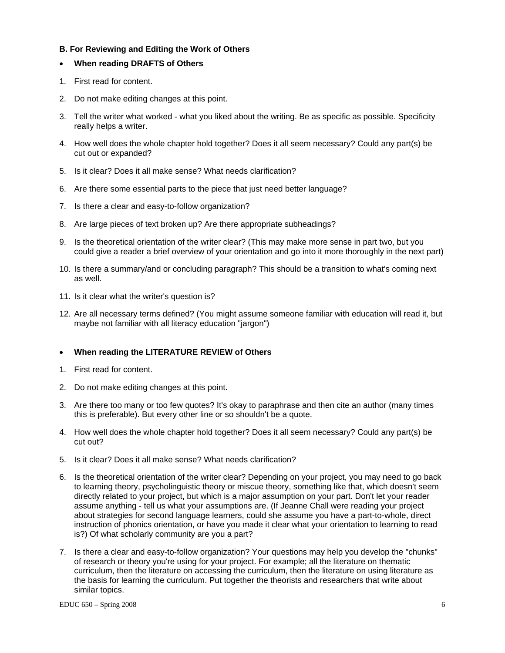## **B. For Reviewing and Editing the Work of Others**

## • **When reading DRAFTS of Others**

- 1. First read for content.
- 2. Do not make editing changes at this point.
- 3. Tell the writer what worked what you liked about the writing. Be as specific as possible. Specificity really helps a writer.
- 4. How well does the whole chapter hold together? Does it all seem necessary? Could any part(s) be cut out or expanded?
- 5. Is it clear? Does it all make sense? What needs clarification?
- 6. Are there some essential parts to the piece that just need better language?
- 7. Is there a clear and easy-to-follow organization?
- 8. Are large pieces of text broken up? Are there appropriate subheadings?
- 9. Is the theoretical orientation of the writer clear? (This may make more sense in part two, but you could give a reader a brief overview of your orientation and go into it more thoroughly in the next part)
- 10. Is there a summary/and or concluding paragraph? This should be a transition to what's coming next as well.
- 11. Is it clear what the writer's question is?
- 12. Are all necessary terms defined? (You might assume someone familiar with education will read it, but maybe not familiar with all literacy education "jargon")

## • **When reading the LITERATURE REVIEW of Others**

- 1. First read for content.
- 2. Do not make editing changes at this point.
- 3. Are there too many or too few quotes? It's okay to paraphrase and then cite an author (many times this is preferable). But every other line or so shouldn't be a quote.
- 4. How well does the whole chapter hold together? Does it all seem necessary? Could any part(s) be cut out?
- 5. Is it clear? Does it all make sense? What needs clarification?
- 6. Is the theoretical orientation of the writer clear? Depending on your project, you may need to go back to learning theory, psycholinguistic theory or miscue theory, something like that, which doesn't seem directly related to your project, but which is a major assumption on your part. Don't let your reader assume anything - tell us what your assumptions are. (If Jeanne Chall were reading your project about strategies for second language learners, could she assume you have a part-to-whole, direct instruction of phonics orientation, or have you made it clear what your orientation to learning to read is?) Of what scholarly community are you a part?
- 7. Is there a clear and easy-to-follow organization? Your questions may help you develop the "chunks" of research or theory you're using for your project. For example; all the literature on thematic curriculum, then the literature on accessing the curriculum, then the literature on using literature as the basis for learning the curriculum. Put together the theorists and researchers that write about similar topics.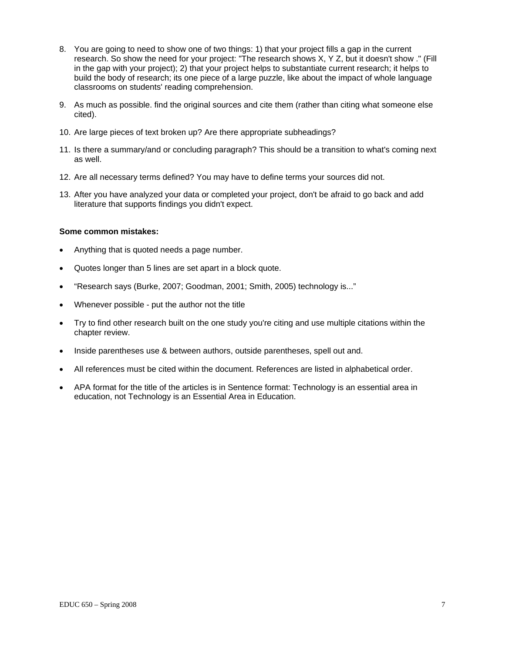- 8. You are going to need to show one of two things: 1) that your project fills a gap in the current research. So show the need for your project: "The research shows X, Y Z, but it doesn't show ." (Fill in the gap with your project); 2) that your project helps to substantiate current research; it helps to build the body of research; its one piece of a large puzzle, like about the impact of whole language classrooms on students' reading comprehension.
- 9. As much as possible. find the original sources and cite them (rather than citing what someone else cited).
- 10. Are large pieces of text broken up? Are there appropriate subheadings?
- 11. Is there a summary/and or concluding paragraph? This should be a transition to what's coming next as well.
- 12. Are all necessary terms defined? You may have to define terms your sources did not.
- 13. After you have analyzed your data or completed your project, don't be afraid to go back and add literature that supports findings you didn't expect.

#### **Some common mistakes:**

- Anything that is quoted needs a page number.
- Quotes longer than 5 lines are set apart in a block quote.
- "Research says (Burke, 2007; Goodman, 2001; Smith, 2005) technology is..."
- Whenever possible put the author not the title
- Try to find other research built on the one study you're citing and use multiple citations within the chapter review.
- Inside parentheses use & between authors, outside parentheses, spell out and.
- All references must be cited within the document. References are listed in alphabetical order.
- APA format for the title of the articles is in Sentence format: Technology is an essential area in education, not Technology is an Essential Area in Education.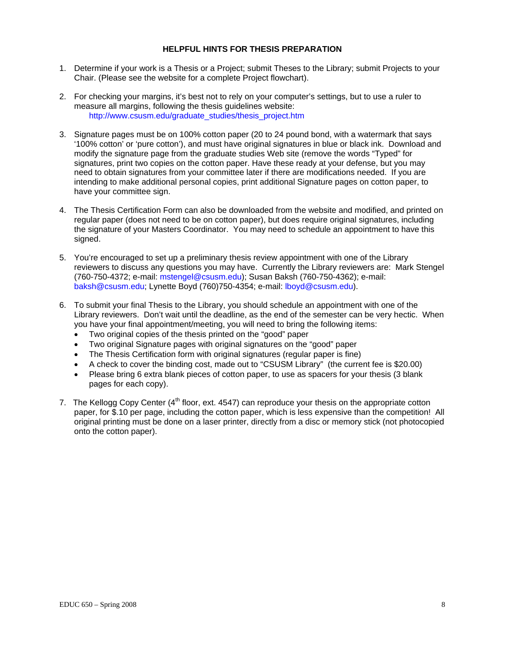#### **HELPFUL HINTS FOR THESIS PREPARATION**

- 1. Determine if your work is a Thesis or a Project; submit Theses to the Library; submit Projects to your Chair. (Please see the website for a complete Project flowchart).
- 2. For checking your margins, it's best not to rely on your computer's settings, but to use a ruler to measure all margins, following the thesis guidelines website: http://www.csusm.edu/graduate\_studies/thesis\_project.htm
- 3. Signature pages must be on 100% cotton paper (20 to 24 pound bond, with a watermark that says '100% cotton' or 'pure cotton'), and must have original signatures in blue or black ink. Download and modify the signature page from the graduate studies Web site (remove the words "Typed" for signatures, print two copies on the cotton paper. Have these ready at your defense, but you may need to obtain signatures from your committee later if there are modifications needed. If you are intending to make additional personal copies, print additional Signature pages on cotton paper, to have your committee sign.
- 4. The Thesis Certification Form can also be downloaded from the website and modified, and printed on regular paper (does not need to be on cotton paper), but does require original signatures, including the signature of your Masters Coordinator. You may need to schedule an appointment to have this signed.
- 5. You're encouraged to set up a preliminary thesis review appointment with one of the Library reviewers to discuss any questions you may have. Currently the Library reviewers are: Mark Stengel (760-750-4372; e-mail: mstengel@csusm.edu); Susan Baksh (760-750-4362); e-mail: baksh@csusm.edu; Lynette Boyd (760)750-4354; e-mail: lboyd@csusm.edu).
- 6. To submit your final Thesis to the Library, you should schedule an appointment with one of the Library reviewers. Don't wait until the deadline, as the end of the semester can be very hectic. When you have your final appointment/meeting, you will need to bring the following items:
	- Two original copies of the thesis printed on the "good" paper
	- Two original Signature pages with original signatures on the "good" paper
	- The Thesis Certification form with original signatures (regular paper is fine)
	- A check to cover the binding cost, made out to "CSUSM Library" (the current fee is \$20.00)
	- Please bring 6 extra blank pieces of cotton paper, to use as spacers for your thesis (3 blank pages for each copy).
- 7. The Kellogg Copy Center  $(4<sup>th</sup>$  floor, ext. 4547) can reproduce your thesis on the appropriate cotton paper, for \$.10 per page, including the cotton paper, which is less expensive than the competition! All original printing must be done on a laser printer, directly from a disc or memory stick (not photocopied onto the cotton paper).